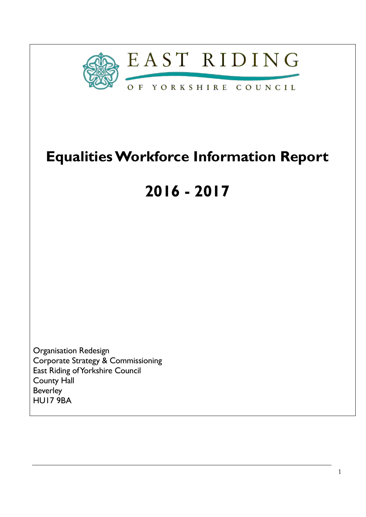

# **Equalities Workforce Information Report**

# **2016 - 2017**

Organisation Redesign Corporate Strategy & Commissioning East Riding of Yorkshire Council County Hall Beverley HU17 9BA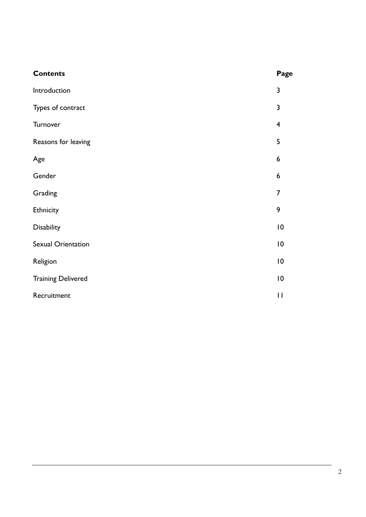| <b>Contents</b>           | Page                    |
|---------------------------|-------------------------|
| Introduction              | $\mathbf{3}$            |
| Types of contract         | $\mathbf{3}$            |
| Turnover                  | $\overline{\mathbf{4}}$ |
| Reasons for leaving       | 5                       |
| Age                       | 6                       |
| Gender                    | 6                       |
| Grading                   | $\overline{7}$          |
| Ethnicity                 | 9                       |
| Disability                | 10                      |
| Sexual Orientation        | 10                      |
| Religion                  | 10                      |
| <b>Training Delivered</b> | 10                      |
| Recruitment               | $\mathbf{H}$            |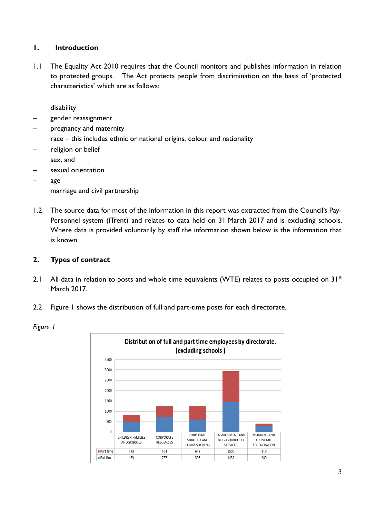# **1. Introduction**

- 1.1 The Equality Act 2010 requires that the Council monitors and publishes information in relation to protected groups. The Act protects people from discrimination on the basis of 'protected characteristics' which are as follows:
- disability
- gender reassignment
- pregnancy and maternity
- race this includes ethnic or national origins, colour and nationality
- religion or belief
- sex, and
- sexual orientation
- age
- marriage and civil partnership
- 1.2 The source data for most of the information in this report was extracted from the Council's Pay-Personnel system (iTrent) and relates to data held on 31 March 2017 and is excluding schools. Where data is provided voluntarily by staff the information shown below is the information that is known.

# **2. Types of contract**

- 2.1 All data in relation to posts and whole time equivalents (WTE) relates to posts occupied on  $31^{st}$ March 2017.
- 2.2 Figure 1 shows the distribution of full and part-time posts for each directorate.



*Figure 1*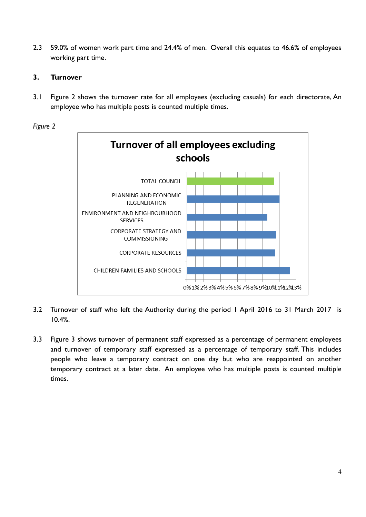2.3 59.0% of women work part time and 24.4% of men. Overall this equates to 46.6% of employees working part time.

# **3. Turnover**

3.1 Figure 2 shows the turnover rate for all employees (excluding casuals) for each directorate, An employee who has multiple posts is counted multiple times.





- 3.2 Turnover of staff who left the Authority during the period 1 April 2016 to 31 March 2017 is 10.4%.
- 3.3 Figure 3 shows turnover of permanent staff expressed as a percentage of permanent employees and turnover of temporary staff expressed as a percentage of temporary staff. This includes people who leave a temporary contract on one day but who are reappointed on another temporary contract at a later date. An employee who has multiple posts is counted multiple times.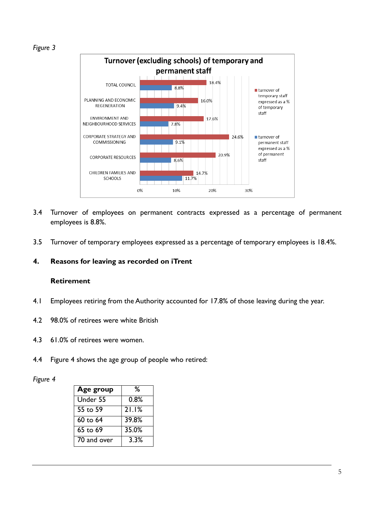*Figure 3*



- 3.4 Turnover of employees on permanent contracts expressed as a percentage of permanent employees is 8.8%.
- 3.5 Turnover of temporary employees expressed as a percentage of temporary employees is 18.4%.

# **4. Reasons for leaving as recorded on iTrent**

## **Retirement**

- 4.1 Employees retiring from the Authority accounted for 17.8% of those leaving during the year.
- 4.2 98.0% of retirees were white British
- 4.3 61.0% of retirees were women.
- 4.4 Figure 4 shows the age group of people who retired:

*Figure 4*

| Age group   | ℅     |
|-------------|-------|
| Under 55    | 0.8%  |
| 55 to 59    | 21.1% |
| 60 to 64    | 39.8% |
| 65 to 69    | 35.0% |
| 70 and over | 3.3%  |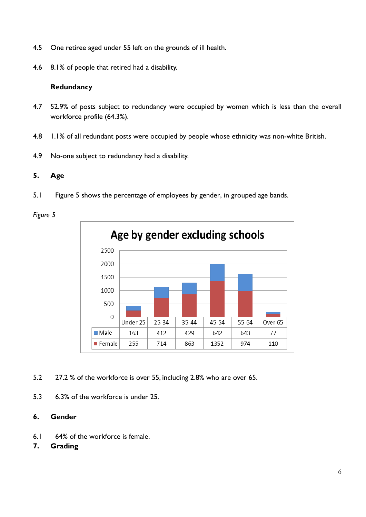- 4.5 One retiree aged under 55 left on the grounds of ill health.
- 4.6 8.1% of people that retired had a disability.

## **Redundancy**

- 4.7 52.9% of posts subject to redundancy were occupied by women which is less than the overall workforce profile (64.3%).
- 4.8 1.1% of all redundant posts were occupied by people whose ethnicity was non-white British.
- 4.9 No-one subject to redundancy had a disability.

# **5. Age**

5.1 Figure 5 shows the percentage of employees by gender, in grouped age bands.

*Figure 5*



- 5.2 27.2 % of the workforce is over 55, including 2.8% who are over 65.
- 5.3 6.3% of the workforce is under 25.

## **6. Gender**

- 6.1 64% of the workforce is female.
- **7. Grading**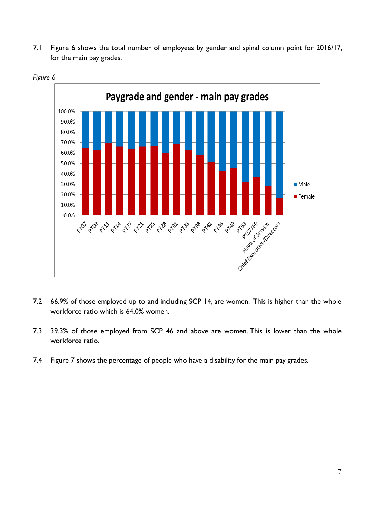7.1 Figure 6 shows the total number of employees by gender and spinal column point for 2016/17, for the main pay grades.



*Figure 6*

- 7.2 66.9% of those employed up to and including SCP 14, are women. This is higher than the whole workforce ratio which is 64.0% women.
- 7.3 39.3% of those employed from SCP 46 and above are women. This is lower than the whole workforce ratio.
- 7.4 Figure 7 shows the percentage of people who have a disability for the main pay grades.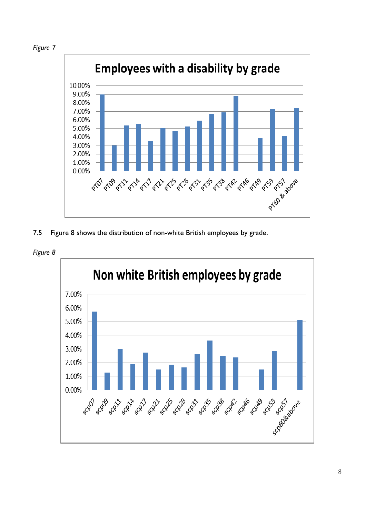



7.5 Figure 8 shows the distribution of non-white British employees by grade.

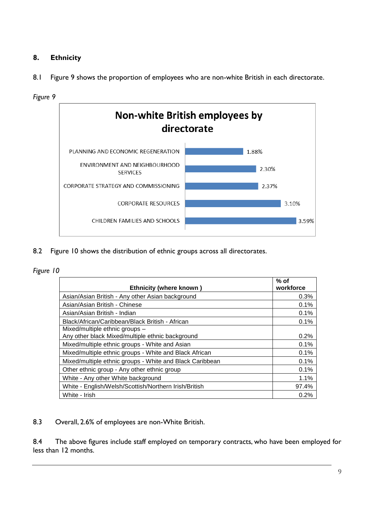# **8. Ethnicity**



8.2 Figure 10 shows the distribution of ethnic groups across all directorates.

8.1 Figure 9 shows the proportion of employees who are non-white British in each directorate.

#### *Figure 10*

| <b>Ethnicity (where known)</b>                                                     | $%$ of<br>workforce |
|------------------------------------------------------------------------------------|---------------------|
| Asian/Asian British - Any other Asian background                                   | 0.3%                |
| Asian/Asian British - Chinese                                                      | 0.1%                |
| Asian/Asian British - Indian                                                       | 0.1%                |
| Black/African/Caribbean/Black British - African                                    | 0.1%                |
| Mixed/multiple ethnic groups -<br>Any other black Mixed/multiple ethnic background | 0.2%                |
| Mixed/multiple ethnic groups - White and Asian                                     | 0.1%                |
| Mixed/multiple ethnic groups - White and Black African                             | 0.1%                |
| Mixed/multiple ethnic groups - White and Black Caribbean                           | 0.1%                |
| Other ethnic group - Any other ethnic group                                        | 0.1%                |
| White - Any other White background                                                 | 1.1%                |
| White - English/Welsh/Scottish/Northern Irish/British                              | 97.4%               |
| White - Irish                                                                      | 0.2%                |

8.3 Overall, 2.6% of employees are non-White British.

8.4 The above figures include staff employed on temporary contracts, who have been employed for less than 12 months.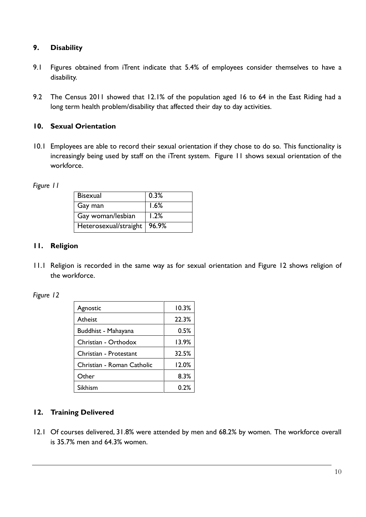# **9. Disability**

- 9.1 Figures obtained from iTrent indicate that 5.4% of employees consider themselves to have a disability.
- 9.2 The Census 2011 showed that 12.1% of the population aged 16 to 64 in the East Riding had a long term health problem/disability that affected their day to day activities.

## **10. Sexual Orientation**

10.1 Employees are able to record their sexual orientation if they chose to do so. This functionality is increasingly being used by staff on the iTrent system. Figure 11 shows sexual orientation of the workforce.

*Figure 11*

| <b>Bisexual</b>               | 0.3% |
|-------------------------------|------|
| Gay man                       | 1.6% |
| Gay woman/lesbian             | 1.2% |
| Heterosexual/straight   96.9% |      |

# **11. Religion**

11.1 Religion is recorded in the same way as for sexual orientation and Figure 12 shows religion of the workforce.

*Figure 12*

| Agnostic                   | 10.3% |
|----------------------------|-------|
| Atheist                    | 22.3% |
| Buddhist - Mahayana        | 0.5%  |
| Christian - Orthodox       | 13.9% |
| Christian - Protestant     | 32.5% |
| Christian - Roman Catholic | 12.0% |
| Other                      | 8.3%  |
| Sikhism                    | 0.2%  |

# **12. Training Delivered**

12.1 Of courses delivered, 31.8% were attended by men and 68.2% by women. The workforce overall is 35.7% men and 64.3% women.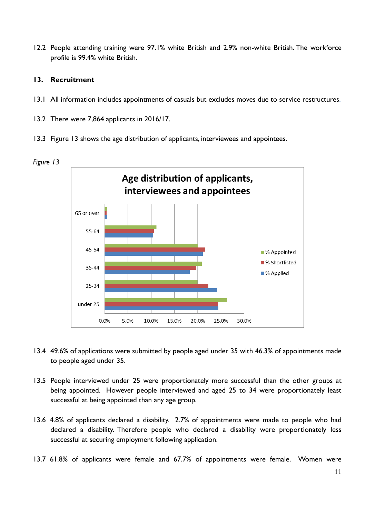12.2 People attending training were 97.1% white British and 2.9% non-white British. The workforce profile is 99.4% white British.

# **13. Recruitment**

- 13.1 All information includes appointments of casuals but excludes moves due to service restructures.
- 13.2 There were 7,864 applicants in 2016/17.
- 13.3 Figure 13 shows the age distribution of applicants, interviewees and appointees.





- 13.4 49.6% of applications were submitted by people aged under 35 with 46.3% of appointments made to people aged under 35.
- 13.5 People interviewed under 25 were proportionately more successful than the other groups at being appointed. However people interviewed and aged 25 to 34 were proportionately least successful at being appointed than any age group.
- 13.6 4.8% of applicants declared a disability. 2.7% of appointments were made to people who had declared a disability. Therefore people who declared a disability were proportionately less successful at securing employment following application.
- 13.7 61.8% of applicants were female and 67.7% of appointments were female. Women were